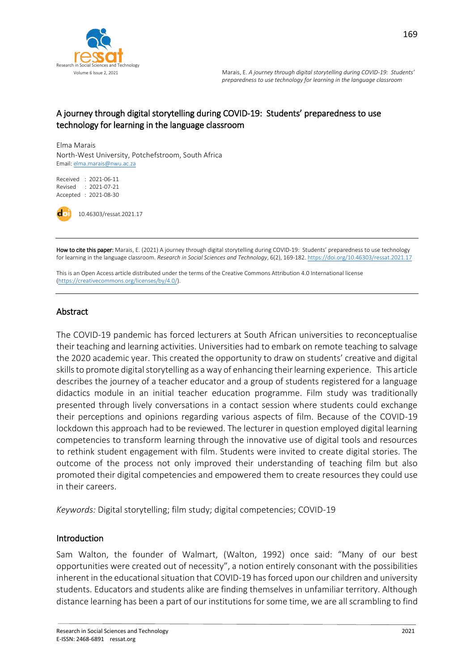

## A journey through digital storytelling during COVID-19: Students' preparedness to use technology for learning in the language classroom

Elma Marais North-West University, Potchefstroom, South Africa Email[: elma.marais@nwu.ac.za](mailto:elma.marais@nwu.ac.za)

Received : 2021-06-11 Revised : 2021-07-21 Accepted : 2021-08-30



10.46303/ressat.2021.17

How to cite this paper: Marais, E. (2021) A journey through digital storytelling during COVID-19: Students' preparedness to use technology for learning in the language classroom. *Research in Social Sciences and Technology*, 6(2), 169-182[. https://doi.org/10.46303/ressat.2021.17](https://doi.org/10.46303/ressat.2021.17)

This is an Open Access article distributed under the terms of the Creative Commons Attribution 4.0 International license [\(https://creativecommons.org/licenses/by/4.0/\).](https://creativecommons.org/licenses/by/4.0/)

#### Abstract

The COVID-19 pandemic has forced lecturers at South African universities to reconceptualise their teaching and learning activities. Universities had to embark on remote teaching to salvage the 2020 academic year. This created the opportunity to draw on students' creative and digital skills to promote digital storytelling as a way of enhancing their learning experience. This article describes the journey of a teacher educator and a group of students registered for a language didactics module in an initial teacher education programme. Film study was traditionally presented through lively conversations in a contact session where students could exchange their perceptions and opinions regarding various aspects of film. Because of the COVID-19 lockdown this approach had to be reviewed. The lecturer in question employed digital learning competencies to transform learning through the innovative use of digital tools and resources to rethink student engagement with film. Students were invited to create digital stories. The outcome of the process not only improved their understanding of teaching film but also promoted their digital competencies and empowered them to create resources they could use in their careers.

*Keywords:* Digital storytelling; film study; digital competencies; COVID-19

#### Introduction

Sam Walton, the founder of Walmart, (Walton, 1992) once said: "Many of our best opportunities were created out of necessity", a notion entirely consonant with the possibilities inherent in the educational situation that COVID-19 has forced upon our children and university students. Educators and students alike are finding themselves in unfamiliar territory. Although distance learning has been a part of our institutions for some time, we are all scrambling to find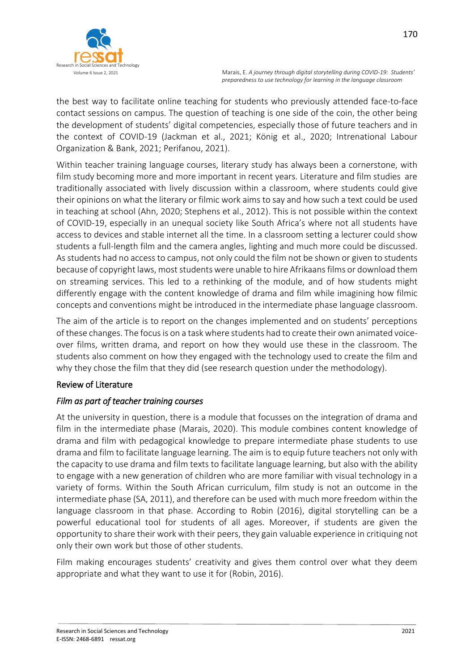

the best way to facilitate online teaching for students who previously attended face-to-face contact sessions on campus. The question of teaching is one side of the coin, the other being the development of students' digital competencies, especially those of future teachers and in the context of COVID-19 (Jackman et al., 2021; König et al., 2020; Intrenational Labour Organization & Bank, 2021; Perifanou, 2021).

Within teacher training language courses, literary study has always been a cornerstone, with film study becoming more and more important in recent years. Literature and film studies are traditionally associated with lively discussion within a classroom, where students could give their opinions on what the literary or filmic work aims to say and how such a text could be used in teaching at school (Ahn, 2020; Stephens et al., 2012). This is not possible within the context of COVID-19, especially in an unequal society like South Africa's where not all students have access to devices and stable internet all the time. In a classroom setting a lecturer could show students a full-length film and the camera angles, lighting and much more could be discussed. As students had no access to campus, not only could the film not be shown or given to students because of copyright laws, most students were unable to hire Afrikaans films or download them on streaming services. This led to a rethinking of the module, and of how students might differently engage with the content knowledge of drama and film while imagining how filmic concepts and conventions might be introduced in the intermediate phase language classroom.

The aim of the article is to report on the changes implemented and on students' perceptions of these changes. The focus is on a task where students had to create their own animated voiceover films, written drama, and report on how they would use these in the classroom. The students also comment on how they engaged with the technology used to create the film and why they chose the film that they did (see research question under the methodology).

## Review of Literature

## *Film as part of teacher training courses*

At the university in question, there is a module that focusses on the integration of drama and film in the intermediate phase (Marais, 2020). This module combines content knowledge of drama and film with pedagogical knowledge to prepare intermediate phase students to use drama and film to facilitate language learning. The aim is to equip future teachers not only with the capacity to use drama and film texts to facilitate language learning, but also with the ability to engage with a new generation of children who are more familiar with visual technology in a variety of forms. Within the South African curriculum, film study is not an outcome in the intermediate phase (SA, 2011), and therefore can be used with much more freedom within the language classroom in that phase. According to Robin (2016), digital storytelling can be a powerful educational tool for students of all ages. Moreover, if students are given the opportunity to share their work with their peers, they gain valuable experience in critiquing not only their own work but those of other students.

Film making encourages students' creativity and gives them control over what they deem appropriate and what they want to use it for (Robin, 2016).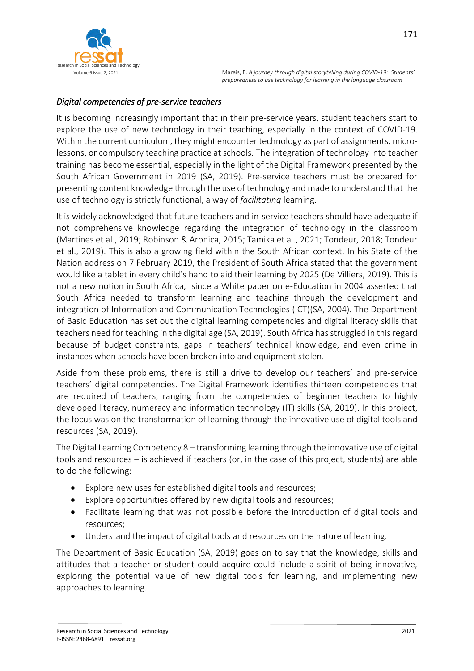171

# *Digital competencies of pre-service teachers*

It is becoming increasingly important that in their pre-service years, student teachers start to explore the use of new technology in their teaching, especially in the context of COVID-19. Within the current curriculum, they might encounter technology as part of assignments, microlessons, or compulsory teaching practice at schools. The integration of technology into teacher training has become essential, especially in the light of the Digital Framework presented by the South African Government in 2019 (SA, 2019). Pre-service teachers must be prepared for presenting content knowledge through the use of technology and made to understand that the use of technology is strictly functional, a way of *facilitating* learning.

It is widely acknowledged that future teachers and in-service teachers should have adequate if not comprehensive knowledge regarding the integration of technology in the classroom (Martines et al., 2019; Robinson & Aronica, 2015; Tamika et al., 2021; Tondeur, 2018; Tondeur et al., 2019). This is also a growing field within the South African context. In his State of the Nation address on 7 February 2019, the President of South Africa stated that the government would like a tablet in every child's hand to aid their learning by 2025 (De Villiers, 2019). This is not a new notion in South Africa, since a White paper on e-Education in 2004 asserted that South Africa needed to transform learning and teaching through the development and integration of Information and Communication Technologies (ICT)(SA, 2004). The Department of Basic Education has set out the digital learning competencies and digital literacy skills that teachers need for teaching in the digital age (SA, 2019). South Africa has struggled in this regard because of budget constraints, gaps in teachers' technical knowledge, and even crime in instances when schools have been broken into and equipment stolen.

Aside from these problems, there is still a drive to develop our teachers' and pre-service teachers' digital competencies. The Digital Framework identifies thirteen competencies that are required of teachers, ranging from the competencies of beginner teachers to highly developed literacy, numeracy and information technology (IT) skills (SA, 2019). In this project, the focus was on the transformation of learning through the innovative use of digital tools and resources (SA, 2019).

The Digital Learning Competency 8 – transforming learning through the innovative use of digital tools and resources – is achieved if teachers (or, in the case of this project, students) are able to do the following:

- Explore new uses for established digital tools and resources;
- Explore opportunities offered by new digital tools and resources;
- Facilitate learning that was not possible before the introduction of digital tools and resources;
- Understand the impact of digital tools and resources on the nature of learning.

The Department of Basic Education (SA, 2019) goes on to say that the knowledge, skills and attitudes that a teacher or student could acquire could include a spirit of being innovative, exploring the potential value of new digital tools for learning, and implementing new approaches to learning.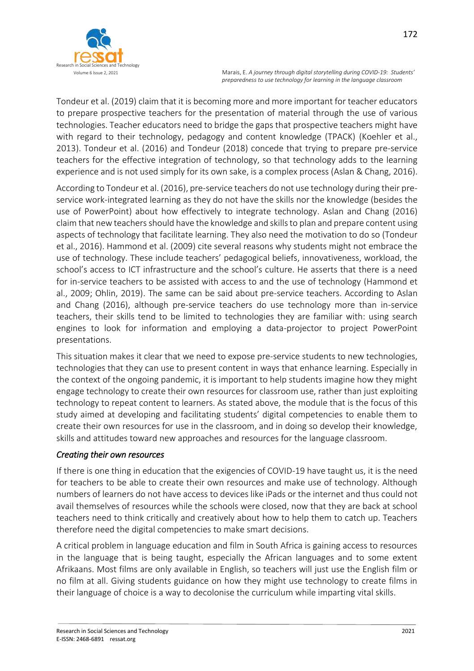

Tondeur et al. (2019) claim that it is becoming more and more important for teacher educators to prepare prospective teachers for the presentation of material through the use of various technologies. Teacher educators need to bridge the gaps that prospective teachers might have with regard to their technology, pedagogy and content knowledge (TPACK) (Koehler et al., 2013). Tondeur et al. (2016) and Tondeur (2018) concede that trying to prepare pre-service teachers for the effective integration of technology, so that technology adds to the learning experience and is not used simply for its own sake, is a complex process (Aslan & Chang, 2016).

According to Tondeur et al. (2016), pre-service teachers do not use technology during their preservice work-integrated learning as they do not have the skills nor the knowledge (besides the use of PowerPoint) about how effectively to integrate technology. Aslan and Chang (2016) claim that new teachers should have the knowledge and skills to plan and prepare content using aspects of technology that facilitate learning. They also need the motivation to do so (Tondeur et al., 2016). Hammond et al. (2009) cite several reasons why students might not embrace the use of technology. These include teachers' pedagogical beliefs, innovativeness, workload, the school's access to ICT infrastructure and the school's culture. He asserts that there is a need for in-service teachers to be assisted with access to and the use of technology (Hammond et al., 2009; Ohlin, 2019). The same can be said about pre-service teachers. According to Aslan and Chang (2016), although pre-service teachers do use technology more than in-service teachers, their skills tend to be limited to technologies they are familiar with: using search engines to look for information and employing a data-projector to project PowerPoint presentations.

This situation makes it clear that we need to expose pre-service students to new technologies, technologies that they can use to present content in ways that enhance learning. Especially in the context of the ongoing pandemic, it is important to help students imagine how they might engage technology to create their own resources for classroom use, rather than just exploiting technology to repeat content to learners. As stated above, the module that is the focus of this study aimed at developing and facilitating students' digital competencies to enable them to create their own resources for use in the classroom, and in doing so develop their knowledge, skills and attitudes toward new approaches and resources for the language classroom.

#### *Creating their own resources*

If there is one thing in education that the exigencies of COVID-19 have taught us, it is the need for teachers to be able to create their own resources and make use of technology. Although numbers of learners do not have access to devices like iPads or the internet and thus could not avail themselves of resources while the schools were closed, now that they are back at school teachers need to think critically and creatively about how to help them to catch up. Teachers therefore need the digital competencies to make smart decisions.

A critical problem in language education and film in South Africa is gaining access to resources in the language that is being taught, especially the African languages and to some extent Afrikaans. Most films are only available in English, so teachers will just use the English film or no film at all. Giving students guidance on how they might use technology to create films in their language of choice is a way to decolonise the curriculum while imparting vital skills.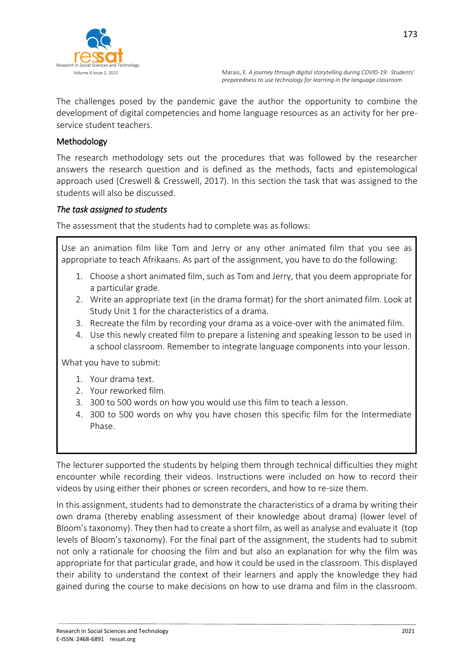

173

The challenges posed by the pandemic gave the author the opportunity to combine the development of digital competencies and home language resources as an activity for her preservice student teachers.

#### Methodology

The research methodology sets out the procedures that was followed by the researcher answers the research question and is defined as the methods, facts and epistemological approach used (Creswell & Cresswell, 2017). In this section the task that was assigned to the students will also be discussed.

#### *The task assigned to students*

The assessment that the students had to complete was as follows:

Use an animation film like Tom and Jerry or any other animated film that you see as appropriate to teach Afrikaans. As part of the assignment, you have to do the following:

- 1. Choose a short animated film, such as Tom and Jerry, that you deem appropriate for a particular grade.
- 2. Write an appropriate text (in the drama format) for the short animated film. Look at Study Unit 1 for the characteristics of a drama.
- 3. Recreate the film by recording your drama as a voice-over with the animated film.
- 4. Use this newly created film to prepare a listening and speaking lesson to be used in a school classroom. Remember to integrate language components into your lesson.

What you have to submit:

- 1. Your drama text.
- 2. Your reworked film.
- 3. 300 to 500 words on how you would use this film to teach a lesson.
- 4. 300 to 500 words on why you have chosen this specific film for the Intermediate Phase.

The lecturer supported the students by helping them through technical difficulties they might encounter while recording their videos. Instructions were included on how to record their videos by using either their phones or screen recorders, and how to re-size them.

In this assignment, students had to demonstrate the characteristics of a drama by writing their own drama (thereby enabling assessment of their knowledge about drama) (lower level of Bloom's taxonomy). They then had to create a short film, as well as analyse and evaluate it (top levels of Bloom's taxonomy). For the final part of the assignment, the students had to submit not only a rationale for choosing the film and but also an explanation for why the film was appropriate for that particular grade, and how it could be used in the classroom. This displayed their ability to understand the context of their learners and apply the knowledge they had gained during the course to make decisions on how to use drama and film in the classroom.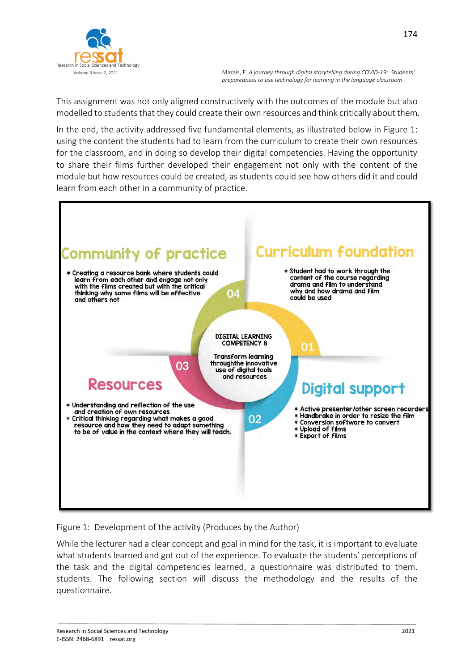

This assignment was not only aligned constructively with the outcomes of the module but also modelled to students that they could create their own resources and think critically about them.

In the end, the activity addressed five fundamental elements, as illustrated below in Figure 1: using the content the students had to learn from the curriculum to create their own resources for the classroom, and in doing so develop their digital competencies. Having the opportunity to share their films further developed their engagement not only with the content of the module but how resources could be created, as students could see how others did it and could learn from each other in a community of practice.



Figure 1: Development of the activity (Produces by the Author)

While the lecturer had a clear concept and goal in mind for the task, it is important to evaluate what students learned and got out of the experience. To evaluate the students' perceptions of the task and the digital competencies learned, a questionnaire was distributed to them. students. The following section will discuss the methodology and the results of the questionnaire.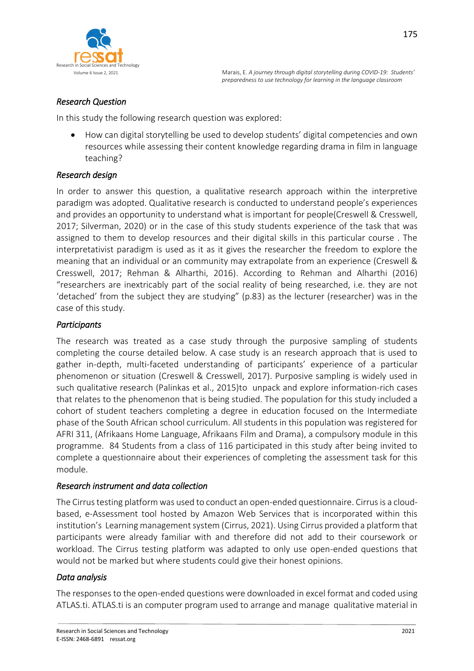175



 Volume 6 Issue 2, 2021 Marais, E. *A journey through digital storytelling during COVID-19: Students' preparedness to use technology for learning in the language classroom*

## *Research Question*

In this study the following research question was explored:

 How can digital storytelling be used to develop students' digital competencies and own resources while assessing their content knowledge regarding drama in film in language teaching?

## *Research design*

In order to answer this question, a qualitative research approach within the interpretive paradigm was adopted. Qualitative research is conducted to understand people's experiences and provides an opportunity to understand what is important for people(Creswell & Cresswell, 2017; Silverman, 2020) or in the case of this study students experience of the task that was assigned to them to develop resources and their digital skills in this particular course . The interpretativist paradigm is used as it as it gives the researcher the freedom to explore the meaning that an individual or an community may extrapolate from an experience (Creswell & Cresswell, 2017; Rehman & Alharthi, 2016). According to Rehman and Alharthi (2016) "researchers are inextricably part of the social reality of being researched, i.e. they are not 'detached' from the subject they are studying" (p.83) as the lecturer (researcher) was in the case of this study.

## *Participants*

The research was treated as a case study through the purposive sampling of students completing the course detailed below. A case study is an research approach that is used to gather in-depth, multi-faceted understanding of participants' experience of a particular phenomenon or situation (Creswell & Cresswell, 2017). Purposive sampling is widely used in such qualitative research (Palinkas et al., 2015)to unpack and explore information-rich cases that relates to the phenomenon that is being studied. The population for this study included a cohort of student teachers completing a degree in education focused on the Intermediate phase of the South African school curriculum. All students in this population was registered for AFRI 311, (Afrikaans Home Language, Afrikaans Film and Drama), a compulsory module in this programme. 84 Students from a class of 116 participated in this study after being invited to complete a questionnaire about their experiences of completing the assessment task for this module.

## *Research instrument and data collection*

The Cirrus testing platform was used to conduct an open-ended questionnaire. Cirrus is a cloudbased, e-Assessment tool hosted by Amazon Web Services that is incorporated within this institution's Learning management system (Cirrus, 2021). Using Cirrus provided a platform that participants were already familiar with and therefore did not add to their coursework or workload. The Cirrus testing platform was adapted to only use open-ended questions that would not be marked but where students could give their honest opinions.

## *Data analysis*

The responses to the open-ended questions were downloaded in excel format and coded using ATLAS.ti. ATLAS.ti is an computer program used to arrange and manage qualitative material in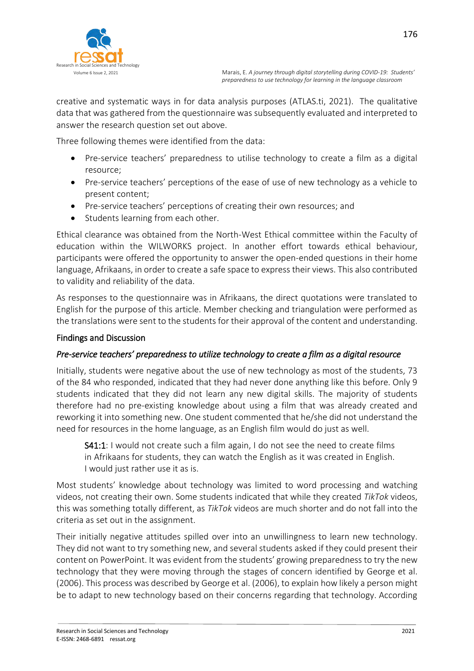

creative and systematic ways in for data analysis purposes (ATLAS.ti, 2021). The qualitative data that was gathered from the questionnaire was subsequently evaluated and interpreted to answer the research question set out above.

Three following themes were identified from the data:

- Pre-service teachers' preparedness to utilise technology to create a film as a digital resource;
- Pre-service teachers' perceptions of the ease of use of new technology as a vehicle to present content;
- Pre-service teachers' perceptions of creating their own resources; and
- Students learning from each other.

Ethical clearance was obtained from the North-West Ethical committee within the Faculty of education within the WILWORKS project. In another effort towards ethical behaviour, participants were offered the opportunity to answer the open-ended questions in their home language, Afrikaans, in order to create a safe space to express their views. This also contributed to validity and reliability of the data.

As responses to the questionnaire was in Afrikaans, the direct quotations were translated to English for the purpose of this article. Member checking and triangulation were performed as the translations were sent to the students for their approval of the content and understanding.

#### Findings and Discussion

## *Pre-service teachers' preparedness to utilize technology to create a film as a digital resource*

Initially, students were negative about the use of new technology as most of the students, 73 of the 84 who responded, indicated that they had never done anything like this before. Only 9 students indicated that they did not learn any new digital skills. The majority of students therefore had no pre-existing knowledge about using a film that was already created and reworking it into something new. One student commented that he/she did not understand the need for resources in the home language, as an English film would do just as well.

S41:1: I would not create such a film again, I do not see the need to create films in Afrikaans for students, they can watch the English as it was created in English. I would just rather use it as is.

Most students' knowledge about technology was limited to word processing and watching videos, not creating their own. Some students indicated that while they created *TikTok* videos, this was something totally different, as *TikTok* videos are much shorter and do not fall into the criteria as set out in the assignment.

Their initially negative attitudes spilled over into an unwillingness to learn new technology. They did not want to try something new, and several students asked if they could present their content on PowerPoint. It was evident from the students' growing preparedness to try the new technology that they were moving through the stages of concern identified by George et al. (2006). This process was described by George et al. (2006), to explain how likely a person might be to adapt to new technology based on their concerns regarding that technology. According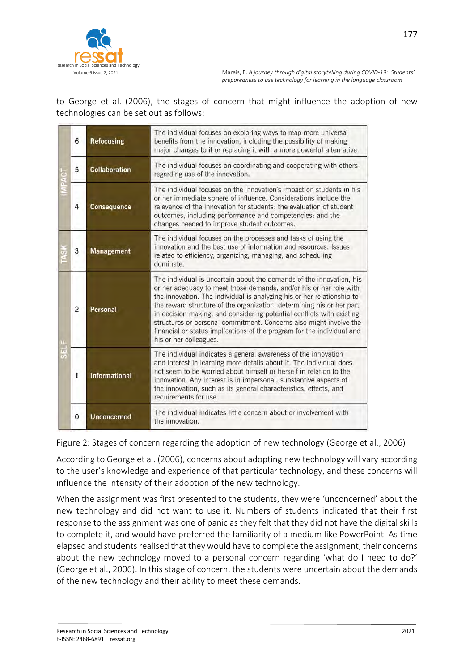

to George et al. (2006), the stages of concern that might influence the adoption of new technologies can be set out as follows:

|  | 6 | Refocusing           | The individual focuses on exploring ways to reap more universal<br>benefits from the innovation, including the possibility of making<br>major changes to it or replacing it with a more powerful alternative.                                                                                                                                                                                                                                                                                                                                    |
|--|---|----------------------|--------------------------------------------------------------------------------------------------------------------------------------------------------------------------------------------------------------------------------------------------------------------------------------------------------------------------------------------------------------------------------------------------------------------------------------------------------------------------------------------------------------------------------------------------|
|  | 5 | <b>Collaboration</b> | The individual focuses on coordinating and cooperating with others<br>regarding use of the innovation.                                                                                                                                                                                                                                                                                                                                                                                                                                           |
|  | 4 | Consequence          | The individual focuses on the innovation's impact on students in his<br>or her immediate sphere of influence. Considerations include the<br>relevance of the innovation for students; the evaluation of student<br>outcomes, including performance and competencies; and the<br>changes needed to improve student outcomes.                                                                                                                                                                                                                      |
|  | 3 | <b>Management</b>    | The individual focuses on the processes and tasks of using the<br>innovation and the best use of information and resources. Issues<br>related to efficiency, organizing, managing, and scheduling<br>dominate.                                                                                                                                                                                                                                                                                                                                   |
|  | 2 | Personal             | The individual is uncertain about the demands of the innovation, his<br>or her adequacy to meet those demands, and/or his or her role with<br>the innovation. The individual is analyzing his or her relationship to<br>the reward structure of the organization, determining his or her part<br>in decision making, and considering potential conflicts with existing<br>structures or personal commitment. Concerns also might involve the<br>financial or status implications of the program for the individual and<br>his or her colleagues. |
|  | 1 | <b>Informational</b> | The individual indicates a general awareness of the innovation<br>and interest in learning more details about it. The individual does<br>not seem to be worried about himself or herself in relation to the<br>innovation. Any interest is in impersonal, substantive aspects of<br>the innovation, such as its general characteristics, effects, and<br>requirements for use.                                                                                                                                                                   |
|  | 0 | <b>Unconcerned</b>   | The individual indicates little concern about or involvement with<br>the innovation.                                                                                                                                                                                                                                                                                                                                                                                                                                                             |

Figure 2: Stages of concern regarding the adoption of new technology (George et al., 2006)

According to George et al. (2006), concerns about adopting new technology will vary according to the user's knowledge and experience of that particular technology, and these concerns will influence the intensity of their adoption of the new technology.

When the assignment was first presented to the students, they were 'unconcerned' about the new technology and did not want to use it. Numbers of students indicated that their first response to the assignment was one of panic as they felt that they did not have the digital skills to complete it, and would have preferred the familiarity of a medium like PowerPoint. As time elapsed and students realised that they would have to complete the assignment, their concerns about the new technology moved to a personal concern regarding 'what do I need to do?' (George et al., 2006). In this stage of concern, the students were uncertain about the demands of the new technology and their ability to meet these demands.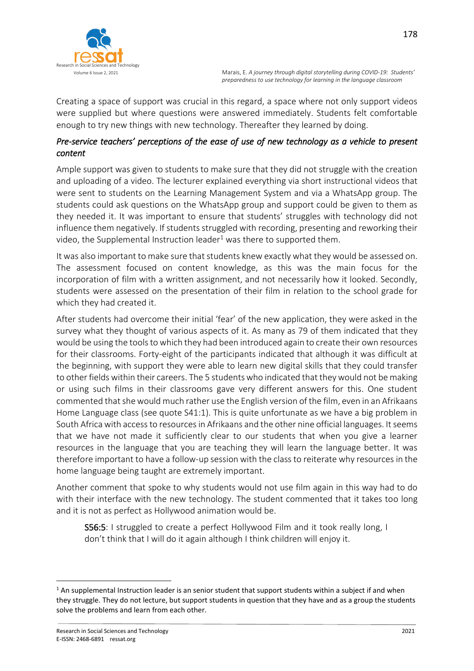

Creating a space of support was crucial in this regard, a space where not only support videos were supplied but where questions were answered immediately. Students felt comfortable enough to try new things with new technology. Thereafter they learned by doing.

## *Pre-service teachers' perceptions of the ease of use of new technology as a vehicle to present content*

Ample support was given to students to make sure that they did not struggle with the creation and uploading of a video. The lecturer explained everything via short instructional videos that were sent to students on the Learning Management System and via a WhatsApp group. The students could ask questions on the WhatsApp group and support could be given to them as they needed it. It was important to ensure that students' struggles with technology did not influence them negatively. If students struggled with recording, presenting and reworking their video, the Supplemental Instruction leader<sup>1</sup> was there to supported them.

It was also important to make sure that students knew exactly what they would be assessed on. The assessment focused on content knowledge, as this was the main focus for the incorporation of film with a written assignment, and not necessarily how it looked. Secondly, students were assessed on the presentation of their film in relation to the school grade for which they had created it.

After students had overcome their initial 'fear' of the new application, they were asked in the survey what they thought of various aspects of it. As many as 79 of them indicated that they would be using the tools to which they had been introduced again to create their own resources for their classrooms. Forty-eight of the participants indicated that although it was difficult at the beginning, with support they were able to learn new digital skills that they could transfer to other fields within their careers. The 5 students who indicated that they would not be making or using such films in their classrooms gave very different answers for this. One student commented that she would much rather use the English version of the film, even in an Afrikaans Home Language class (see quote S41:1). This is quite unfortunate as we have a big problem in South Africa with access to resources in Afrikaans and the other nine official languages. It seems that we have not made it sufficiently clear to our students that when you give a learner resources in the language that you are teaching they will learn the language better. It was therefore important to have a follow-up session with the class to reiterate why resources in the home language being taught are extremely important.

Another comment that spoke to why students would not use film again in this way had to do with their interface with the new technology. The student commented that it takes too long and it is not as perfect as Hollywood animation would be.

S56:5: I struggled to create a perfect Hollywood Film and it took really long, I don't think that I will do it again although I think children will enjoy it.

j

 $<sup>1</sup>$  An supplemental Instruction leader is an senior student that support students within a subject if and when</sup> they struggle. They do not lecture, but support students in question that they have and as a group the students solve the problems and learn from each other.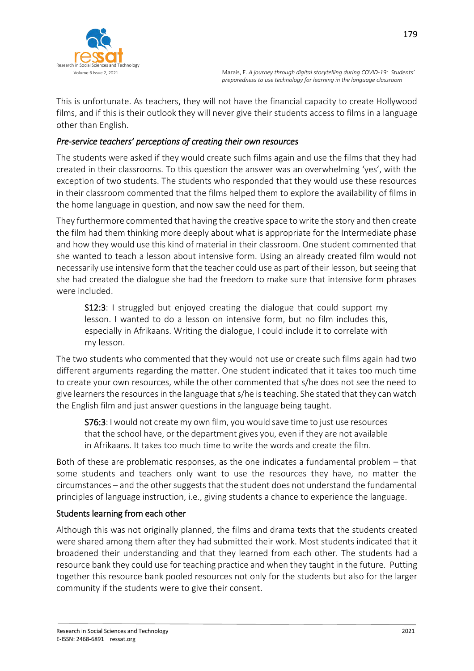

This is unfortunate. As teachers, they will not have the financial capacity to create Hollywood films, and if this is their outlook they will never give their students access to films in a language other than English.

#### *Pre-service teachers' perceptions of creating their own resources*

The students were asked if they would create such films again and use the films that they had created in their classrooms. To this question the answer was an overwhelming 'yes', with the exception of two students. The students who responded that they would use these resources in their classroom commented that the films helped them to explore the availability of films in the home language in question, and now saw the need for them.

They furthermore commented that having the creative space to write the story and then create the film had them thinking more deeply about what is appropriate for the Intermediate phase and how they would use this kind of material in their classroom. One student commented that she wanted to teach a lesson about intensive form. Using an already created film would not necessarily use intensive form that the teacher could use as part of their lesson, but seeing that she had created the dialogue she had the freedom to make sure that intensive form phrases were included.

S12:3: I struggled but enjoyed creating the dialogue that could support my lesson. I wanted to do a lesson on intensive form, but no film includes this, especially in Afrikaans. Writing the dialogue, I could include it to correlate with my lesson.

The two students who commented that they would not use or create such films again had two different arguments regarding the matter. One student indicated that it takes too much time to create your own resources, while the other commented that s/he does not see the need to give learners the resources in the language that s/he is teaching. She stated that they can watch the English film and just answer questions in the language being taught.

S76:3: I would not create my own film, you would save time to just use resources that the school have, or the department gives you, even if they are not available in Afrikaans. It takes too much time to write the words and create the film.

Both of these are problematic responses, as the one indicates a fundamental problem – that some students and teachers only want to use the resources they have, no matter the circumstances – and the other suggests that the student does not understand the fundamental principles of language instruction, i.e., giving students a chance to experience the language.

#### Students learning from each other

Although this was not originally planned, the films and drama texts that the students created were shared among them after they had submitted their work. Most students indicated that it broadened their understanding and that they learned from each other. The students had a resource bank they could use for teaching practice and when they taught in the future. Putting together this resource bank pooled resources not only for the students but also for the larger community if the students were to give their consent.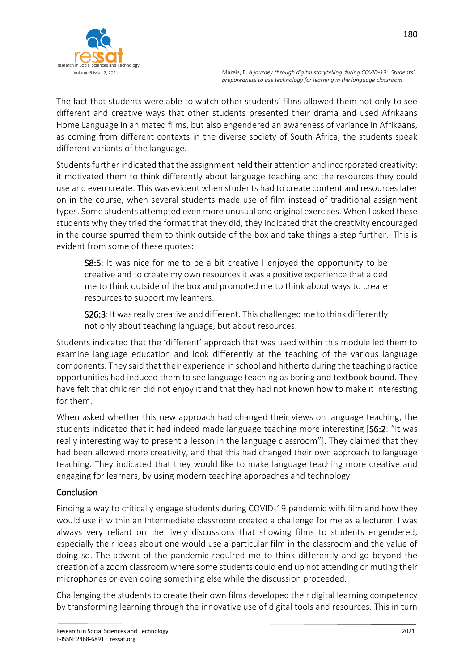

The fact that students were able to watch other students' films allowed them not only to see different and creative ways that other students presented their drama and used Afrikaans Home Language in animated films, but also engendered an awareness of variance in Afrikaans, as coming from different contexts in the diverse society of South Africa, the students speak different variants of the language.

Students further indicated that the assignment held their attention and incorporated creativity: it motivated them to think differently about language teaching and the resources they could use and even create. This was evident when students had to create content and resources later on in the course, when several students made use of film instead of traditional assignment types. Some students attempted even more unusual and original exercises. When I asked these students why they tried the format that they did, they indicated that the creativity encouraged in the course spurred them to think outside of the box and take things a step further. This is evident from some of these quotes:

S8:5: It was nice for me to be a bit creative I enjoyed the opportunity to be creative and to create my own resources it was a positive experience that aided me to think outside of the box and prompted me to think about ways to create resources to support my learners.

S26:3: It was really creative and different. This challenged me to think differently not only about teaching language, but about resources.

Students indicated that the 'different' approach that was used within this module led them to examine language education and look differently at the teaching of the various language components. They said that their experience in school and hitherto during the teaching practice opportunities had induced them to see language teaching as boring and textbook bound. They have felt that children did not enjoy it and that they had not known how to make it interesting for them.

When asked whether this new approach had changed their views on language teaching, the students indicated that it had indeed made language teaching more interesting [S6:2: "It was really interesting way to present a lesson in the language classroom"]. They claimed that they had been allowed more creativity, and that this had changed their own approach to language teaching. They indicated that they would like to make language teaching more creative and engaging for learners, by using modern teaching approaches and technology.

## Conclusion

Finding a way to critically engage students during COVID-19 pandemic with film and how they would use it within an Intermediate classroom created a challenge for me as a lecturer. I was always very reliant on the lively discussions that showing films to students engendered, especially their ideas about one would use a particular film in the classroom and the value of doing so. The advent of the pandemic required me to think differently and go beyond the creation of a zoom classroom where some students could end up not attending or muting their microphones or even doing something else while the discussion proceeded.

Challenging the students to create their own films developed their digital learning competency by transforming learning through the innovative use of digital tools and resources. This in turn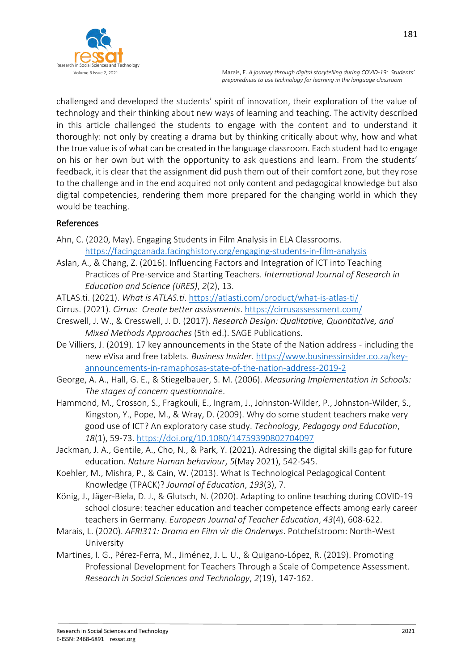



challenged and developed the students' spirit of innovation, their exploration of the value of technology and their thinking about new ways of learning and teaching. The activity described in this article challenged the students to engage with the content and to understand it thoroughly: not only by creating a drama but by thinking critically about why, how and what the true value is of what can be created in the language classroom. Each student had to engage on his or her own but with the opportunity to ask questions and learn. From the students' feedback, it is clear that the assignment did push them out of their comfort zone, but they rose to the challenge and in the end acquired not only content and pedagogical knowledge but also digital competencies, rendering them more prepared for the changing world in which they would be teaching.

#### References

- Ahn, C. (2020, May). Engaging Students in Film Analysis in ELA Classrooms. <https://facingcanada.facinghistory.org/engaging-students-in-film-analysis>
- Aslan, A., & Chang, Z. (2016). Influencing Factors and Integration of ICT into Teaching Practices of Pre-service and Starting Teachers. *International Journal of Research in Education and Science (IJRES)*, *2*(2), 13.
- ATLAS.ti. (2021). *What is ATLAS.ti*.<https://atlasti.com/product/what-is-atlas-ti/>
- Cirrus. (2021). *Cirrus: Create better assissments*.<https://cirrusassessment.com/>
- Creswell, J. W., & Cresswell, J. D. (2017). *Research Design: Qualitative, Quantitative, and Mixed Methods Approaches* (5th ed.). SAGE Publications.
- De Villiers, J. (2019). 17 key announcements in the State of the Nation address including the new eVisa and free tablets. *Business Insider*. [https://www.businessinsider.co.za/key](https://www.businessinsider.co.za/key-announcements-in-ramaphosas-state-of-the-nation-address-2019-2)[announcements-in-ramaphosas-state-of-the-nation-address-2019-2](https://www.businessinsider.co.za/key-announcements-in-ramaphosas-state-of-the-nation-address-2019-2)
- George, A. A., Hall, G. E., & Stiegelbauer, S. M. (2006). *Measuring Implementation in Schools: The stages of concern questionnaire*.
- Hammond, M., Crosson, S., Fragkouli, E., Ingram, J., Johnston‐Wilder, P., Johnston‐Wilder, S., Kingston, Y., Pope, M., & Wray, D. (2009). Why do some student teachers make very good use of ICT? An exploratory case study. *Technology, Pedagogy and Education*, *18*(1), 59-73.<https://doi.org/10.1080/14759390802704097>
- Jackman, J. A., Gentile, A., Cho, N., & Park, Y. (2021). Adressing the digital skills gap for future education. *Nature Human behaviour*, *5*(May 2021), 542-545.
- Koehler, M., Mishra, P., & Cain, W. (2013). What Is Technological Pedagogical Content Knowledge (TPACK)? *Journal of Education*, *193*(3), 7.
- König, J., Jäger-Biela, D. J., & Glutsch, N. (2020). Adapting to online teaching during COVID-19 school closure: teacher education and teacher competence effects among early career teachers in Germany. *European Journal of Teacher Education*, *43*(4), 608-622.
- Marais, L. (2020). *AFRI311: Drama en Film vir die Onderwys*. Potchefstroom: North-West University
- Martines, I. G., Pérez-Ferra, M., Jiménez, J. L. U., & Quigano-López, R. (2019). Promoting Professional Development for Teachers Through a Scale of Competence Assessment. *Research in Social Sciences and Technology*, *2*(19), 147-162.